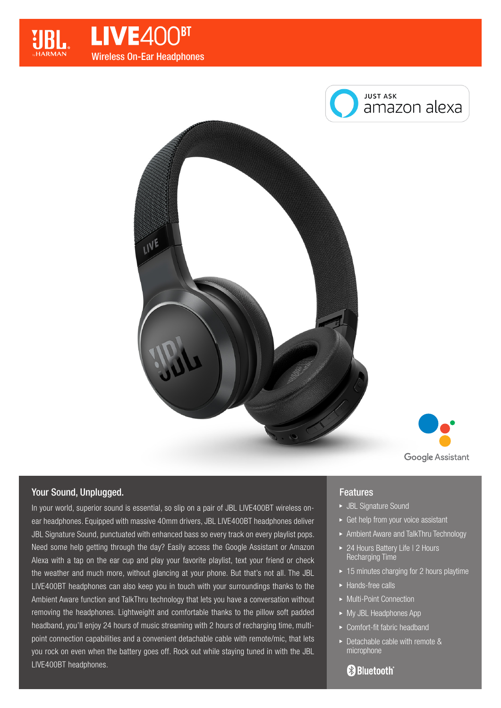







# Your Sound, Unplugged.

In your world, superior sound is essential, so slip on a pair of JBL LIVE400BT wireless onear headphones. Equipped with massive 40mm drivers, JBL LIVE400BT headphones deliver JBL Signature Sound, punctuated with enhanced bass so every track on every playlist pops. Need some help getting through the day? Easily access the Google Assistant or Amazon Alexa with a tap on the ear cup and play your favorite playlist, text your friend or check the weather and much more, without glancing at your phone. But that's not all. The JBL LIVE400BT headphones can also keep you in touch with your surroundings thanks to the Ambient Aware function and TalkThru technology that lets you have a conversation without removing the headphones. Lightweight and comfortable thanks to the pillow soft padded headband, you'll enjoy 24 hours of music streaming with 2 hours of recharging time, multipoint connection capabilities and a convenient detachable cable with remote/mic, that lets you rock on even when the battery goes off. Rock out while staying tuned in with the JBL LIVE400BT headphones.

## **Features**

- JBL Signature Sound
- ► Get help from your voice assistant
- Ambient Aware and TalkThru Technology
- ▶ 24 Hours Battery Life I 2 Hours Recharging Time
- $\rightarrow$  15 minutes charging for 2 hours playtime
- ► Hands-free calls
- ▶ Multi-Point Connection
- ► My JBL Headphones App
- Comfort-fit fabric headband
- ▶ Detachable cable with remote & microphone

# **83 Bluetooth**®